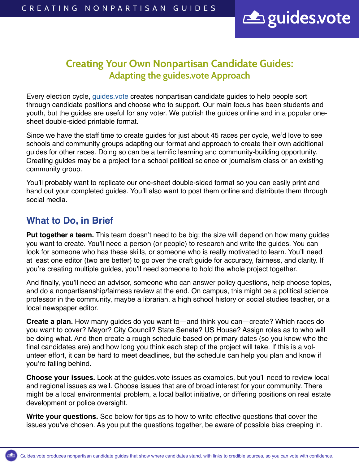

# Creating Your Own Nonpartisan Candidate Guides: Adapting the guides.vote Approach

Every election cycle, *guides vote* creates nonpartisan candidate guides to help people sort through candidate positions and choose who to support. Our main focus has been students and youth, but the guides are useful for any voter. We publish the guides online and in a popular onesheet double-sided printable format.

Since we have the staff time to create guides for just about 45 races per cycle, we'd love to see schools and community groups adapting our format and approach to create their own additional guides for other races. Doing so can be a terrific learning and community-building opportunity. Creating guides may be a project for a school political science or journalism class or an existing community group.

You'll probably want to replicate our one-sheet double-sided format so you can easily print and hand out your completed guides. You'll also want to post them online and distribute them through social media.

## **What to Do, in Brief**

**Put together a team.** This team doesn't need to be big; the size will depend on how many guides you want to create. You'll need a person (or people) to research and write the guides. You can look for someone who has these skills, or someone who is really motivated to learn. You'll need at least one editor (two are better) to go over the draft guide for accuracy, fairness, and clarity. If you're creating multiple guides, you'll need someone to hold the whole project together.

And finally, you'll need an advisor, someone who can answer policy questions, help choose topics, and do a nonpartisanship/fairness review at the end. On campus, this might be a political science professor in the community, maybe a librarian, a high school history or social studies teacher, or a local newspaper editor.

**Create a plan.** How many guides do you want to—and think you can—create? Which races do you want to cover? Mayor? City Council? State Senate? US House? Assign roles as to who will be doing what. And then create a rough schedule based on primary dates (so you know who the final candidates are) and how long you think each step of the project will take. If this is a volunteer effort, it can be hard to meet deadlines, but the schedule can help you plan and know if you're falling behind.

**Choose your issues.** Look at the guides.vote issues as examples, but you'll need to review local and regional issues as well. Choose issues that are of broad interest for your community. There might be a local environmental problem, a local ballot initiative, or differing positions on real estate development or police oversight.

**Write your questions.** See below for tips as to how to write effective questions that cover the issues you've chosen. As you put the questions together, be aware of possible bias creeping in.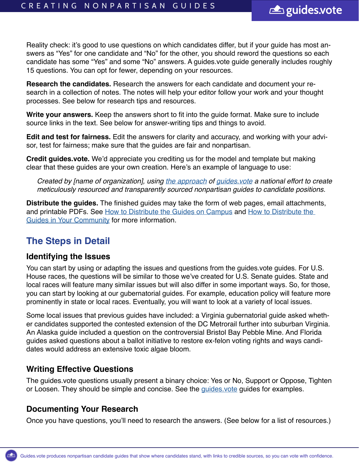Reality check: it's good to use questions on which candidates differ, but if your guide has most answers as "Yes" for one candidate and "No" for the other, you should reword the questions so each candidate has some "Yes" and some "No" answers. A guides.vote guide generally includes roughly 15 questions. You can opt for fewer, depending on your resources.

guides.vote

**Research the candidates.** Research the answers for each candidate and document your research in a collection of notes. The notes will help your editor follow your work and your thought processes. See below for research tips and resources.

**Write your answers.** Keep the answers short to fit into the guide format. Make sure to include source links in the text. See below for answer-writing tips and things to avoid.

**Edit and test for fairness.** Edit the answers for clarity and accuracy, and working with your advisor, test for fairness; make sure that the guides are fair and nonpartisan.

**Credit guides.vote.** We'd appreciate you crediting us for the model and template but making clear that these guides are your own creation. Here's an example of language to use:

*Created by [name of organization], using [the approach](https://guides.vote/wp-content/uploads/2022/04/a-Creating-Your-Own-Nonpartisan-Candidate-Guides.pdf) of [guides.vote](http://guides.vote) a national effort to create meticulously resourced and transparently sourced nonpartisan guides to candidate positions.*

**Distribute the guides.** The finished guides may take the form of web pages, email attachments, and printable PDFs. See [How to Distribute the Guides on Campus](https://guides.vote/wp-content/uploads/2022/03/Campus-Distribution-Guide.pdf) and How to Distribute the [Guides in Your Community](https://guides.vote/wp-content/uploads/2022/03/Community-Distribution-Guide.pdf) for more information.

## **The Steps in Detail**

#### **Identifying the Issues**

You can start by using or adapting the issues and questions from the guides vote guides. For U.S. House races, the questions will be similar to those we've created for U.S. Senate guides. State and local races will feature many similar issues but will also differ in some important ways. So, for those, you can start by looking at our gubernatorial guides. For example, education policy will feature more prominently in state or local races. Eventually, you will want to look at a variety of local issues.

Some local issues that previous guides have included: a Virginia gubernatorial guide asked whether candidates supported the contested extension of the DC Metrorail further into suburban Virginia. An Alaska guide included a question on the controversial Bristol Bay Pebble Mine. And Florida guides asked questions about a ballot initiative to restore ex-felon voting rights and ways candidates would address an extensive toxic algae bloom.

### **Writing Effective Questions**

The guides.vote questions usually present a binary choice: Yes or No, Support or Oppose, Tighten or Loosen. They should be simple and concise. See the quides vote guides for examples.

#### **Documenting Your Research**

Once you have questions, you'll need to research the answers. (See below for a list of resources.)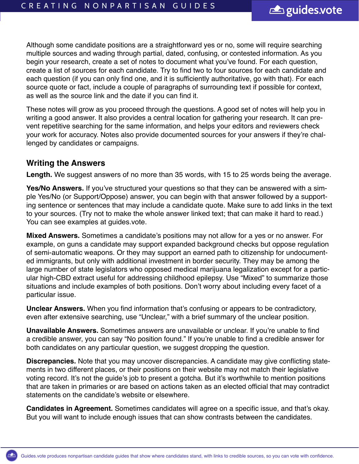Although some candidate positions are a straightforward yes or no, some will require searching multiple sources and wading through partial, dated, confusing, or contested information. As you begin your research, create a set of notes to document what you've found. For each question, create a list of sources for each candidate. Try to find two to four sources for each candidate and each question (if you can only find one, and it is sufficiently authoritative, go with that). For each source quote or fact, include a couple of paragraphs of surrounding text if possible for context, as well as the source link and the date if you can find it.

These notes will grow as you proceed through the questions. A good set of notes will help you in writing a good answer. It also provides a central location for gathering your research. It can prevent repetitive searching for the same information, and helps your editors and reviewers check your work for accuracy. Notes also provide documented sources for your answers if they're challenged by candidates or campaigns.

#### **Writing the Answers**

**Length.** We suggest answers of no more than 35 words, with 15 to 25 words being the average.

**Yes/No Answers.** If you've structured your questions so that they can be answered with a simple Yes/No (or Support/Oppose) answer, you can begin with that answer followed by a supporting sentence or sentences that may include a candidate quote. Make sure to add links in the text to your sources. (Try not to make the whole answer linked text; that can make it hard to read.) You can see examples at guides.vote.

**Mixed Answers.** Sometimes a candidate's positions may not allow for a yes or no answer. For example, on guns a candidate may support expanded background checks but oppose regulation of semi-automatic weapons. Or they may support an earned path to citizenship for undocumented immigrants, but only with additional investment in border security. They may be among the large number of state legislators who opposed medical marijuana legalization except for a particular high-CBD extract useful for addressing childhood epilepsy. Use "Mixed" to summarize those situations and include examples of both positions. Don't worry about including every facet of a particular issue.

**Unclear Answers.** When you find information that's confusing or appears to be contradictory, even after extensive searching, use "Unclear," with a brief summary of the unclear position.

**Unavailable Answers.** Sometimes answers are unavailable or unclear. If you're unable to find a credible answer, you can say "No position found." If you're unable to find a credible answer for both candidates on any particular question, we suggest dropping the question.

**Discrepancies.** Note that you may uncover discrepancies. A candidate may give conflicting statements in two different places, or their positions on their website may not match their legislative voting record. It's not the guide's job to present a gotcha. But it's worthwhile to mention positions that are taken in primaries or are based on actions taken as an elected official that may contradict statements on the candidate's website or elsewhere.

**Candidates in Agreement.** Sometimes candidates will agree on a specific issue, and that's okay. But you will want to include enough issues that can show contrasts between the candidates.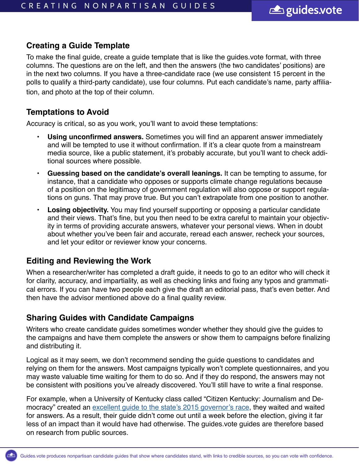## **Creating a Guide Template**

To make the final guide, create a guide template that is like the guides.vote format, with three columns. The questions are on the left, and then the answers (the two candidates' positions) are in the next two columns. If you have a three-candidate race (we use consistent 15 percent in the polls to qualify a third-party candidate), use four columns. Put each candidate's name, party affiliation, and photo at the top of their column.

### **Temptations to Avoid**

Accuracy is critical, so as you work, you'll want to avoid these temptations:

- **• Using unconfirmed answers.** Sometimes you will find an apparent answer immediately and will be tempted to use it without confirmation. If it's a clear quote from a mainstream media source, like a public statement, it's probably accurate, but you'll want to check additional sources where possible.
- **• Guessing based on the candidate's overall leanings.** It can be tempting to assume, for instance, that a candidate who opposes or supports climate change regulations because of a position on the legitimacy of government regulation will also oppose or support regulations on guns. That may prove true. But you can't extrapolate from one position to another.
- **• Losing objectivity.** You may find yourself supporting or opposing a particular candidate and their views. That's fine, but you then need to be extra careful to maintain your objectivity in terms of providing accurate answers, whatever your personal views. When in doubt about whether you've been fair and accurate, reread each answer, recheck your sources, and let your editor or reviewer know your concerns.

### **Editing and Reviewing the Work**

When a researcher/writer has completed a draft guide, it needs to go to an editor who will check it for clarity, accuracy, and impartiality, as well as checking links and fixing any typos and grammatical errors. If you can have two people each give the draft an editorial pass, that's even better. And then have the advisor mentioned above do a final quality review.

### **Sharing Guides with Candidate Campaigns**

Writers who create candidate guides sometimes wonder whether they should give the guides to the campaigns and have them complete the answers or show them to campaigns before finalizing and distributing it.

Logical as it may seem, we don't recommend sending the guide questions to candidates and relying on them for the answers. Most campaigns typically won't complete questionnaires, and you may waste valuable time waiting for them to do so. And if they do respond, the answers may not be consistent with positions you've already discovered. You'll still have to write a final response.

For example, when a University of Kentucky class called "Citizen Kentucky: Journalism and Democracy" created an excellent quide to the state's 2015 governor's race, they waited and waited for answers. As a result, their guide didn't come out until a week before the election, giving it far less of an impact than it would have had otherwise. The guides.vote guides are therefore based on research from public sources.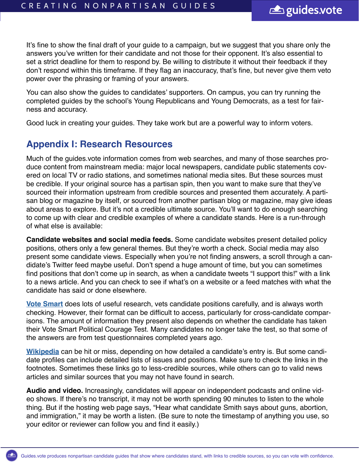It's fine to show the final draft of your guide to a campaign, but we suggest that you share only the answers you've written for their candidate and not those for their opponent. It's also essential to set a strict deadline for them to respond by. Be willing to distribute it without their feedback if they don't respond within this timeframe. If they flag an inaccuracy, that's fine, but never give them veto power over the phrasing or framing of your answers.

You can also show the guides to candidates' supporters. On campus, you can try running the completed guides by the school's Young Republicans and Young Democrats, as a test for fairness and accuracy.

Good luck in creating your guides. They take work but are a powerful way to inform voters.

### **Appendix I: Research Resources**

Much of the guides.vote information comes from web searches, and many of those searches produce content from mainstream media: major local newspapers, candidate public statements covered on local TV or radio stations, and sometimes national media sites. But these sources must be credible. If your original source has a partisan spin, then you want to make sure that they've sourced their information upstream from credible sources and presented them accurately. A partisan blog or magazine by itself, or sourced from another partisan blog or magazine, may give ideas about areas to explore. But it's not a credible ultimate source. You'll want to do enough searching to come up with clear and credible examples of where a candidate stands. Here is a run-through of what else is available:

**Candidate websites and social media feeds.** Some candidate websites present detailed policy positions, others only a few general themes. But they're worth a check. Social media may also present some candidate views. Especially when you're not finding answers, a scroll through a candidate's Twitter feed maybe useful. Don't spend a huge amount of time, but you can sometimes find positions that don't come up in search, as when a candidate tweets "I support this!" with a link to a news article. And you can check to see if what's on a website or a feed matches with what the candidate has said or done elsewhere.

**[Vote Smart](https://justfacts.votesmart.org/)** does lots of useful research, vets candidate positions carefully, and is always worth checking. However, their format can be difficult to access, particularly for cross-candidate comparisons. The amount of information they present also depends on whether the candidate has taken their Vote Smart Political Courage Test. Many candidates no longer take the test, so that some of the answers are from test questionnaires completed years ago.

**[Wikipedia](https://en.wikipedia.org/wiki/Main_Page)** can be hit or miss, depending on how detailed a candidate's entry is. But some candidate profiles can include detailed lists of issues and positions. Make sure to check the links in the footnotes. Sometimes these links go to less-credible sources, while others can go to valid news articles and similar sources that you may not have found in search.

**Audio and video.** Increasingly, candidates will appear on independent podcasts and online video shows. If there's no transcript, it may not be worth spending 90 minutes to listen to the whole thing. But if the hosting web page says, "Hear what candidate Smith says about guns, abortion, and immigration," it may be worth a listen. (Be sure to note the timestamp of anything you use, so your editor or reviewer can follow you and find it easily.)